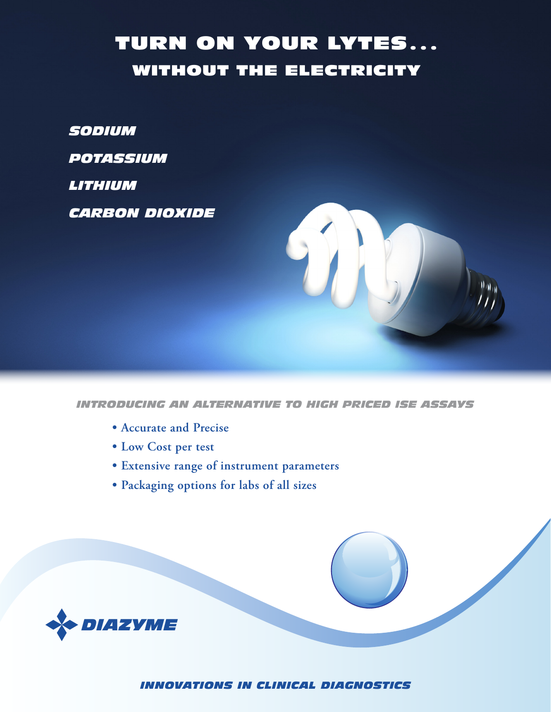## **TURN ON YOUR LYTES...** WITHOUT THE ELECTRICITY

*SODIUM*

*POTASSIUM*

*LITHIUM* 

*CARBON DIOXIDE*



*INTRODUCING AN ALTERNATIVE TO HIGH PRICED ISE ASSAYS*

- **• Accurate and Precise**
- **• Low Cost per test**
- **• Extensive range of instrument parameters**
- **• Packaging options for labs of all sizes**



*INNOVATIONS IN CLINICAL DIAGNOSTICS*